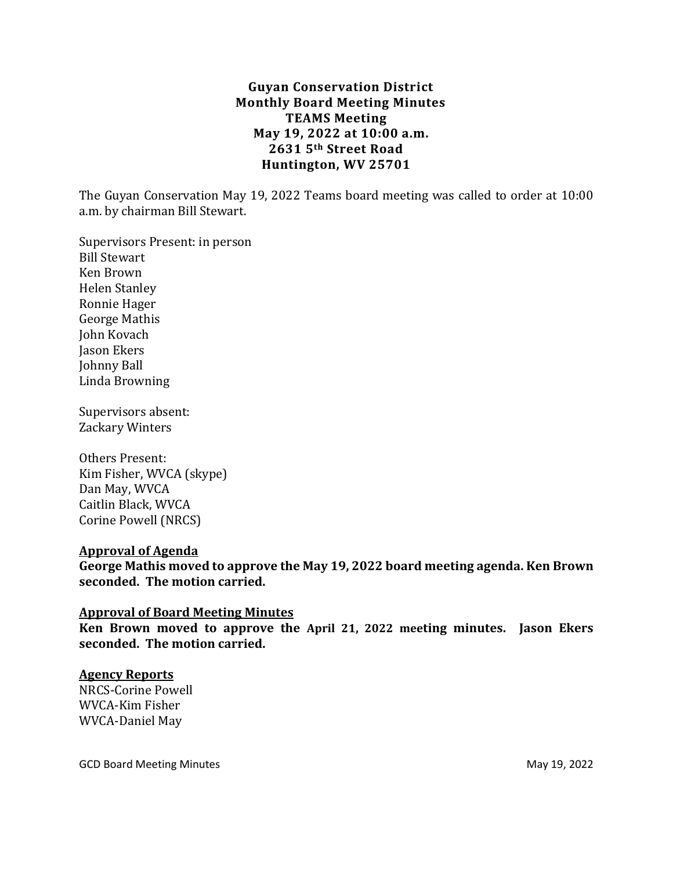# **Guyan Conservation District Monthly Board Meeting Minutes TEAMS Meeting May 19, 2022 at 10:00 a.m. 2631 5th Street Road Huntington, WV 25701**

The Guyan Conservation May 19, 2022 Teams board meeting was called to order at 10:00 a.m. by chairman Bill Stewart.

Supervisors Present: in person Bill Stewart Ken Brown Helen Stanley Ronnie Hager George Mathis John Kovach Jason Ekers Johnny Ball Linda Browning

Supervisors absent: Zackary Winters

Others Present: Kim Fisher, WVCA (skype) Dan May, WVCA Caitlin Black, WVCA Corine Powell (NRCS)

#### **Approval of Agenda**

**George Mathis moved to approve the May 19, 2022 board meeting agenda. Ken Brown seconded. The motion carried.**

#### **Approval of Board Meeting Minutes**

**Ken Brown moved to approve the April 21, 2022 meeting minutes. Jason Ekers seconded. The motion carried.**

#### **Agency Reports**

NRCS-Corine Powell WVCA-Kim Fisher WVCA-Daniel May

GCD Board Meeting Minutes **May 19, 2022**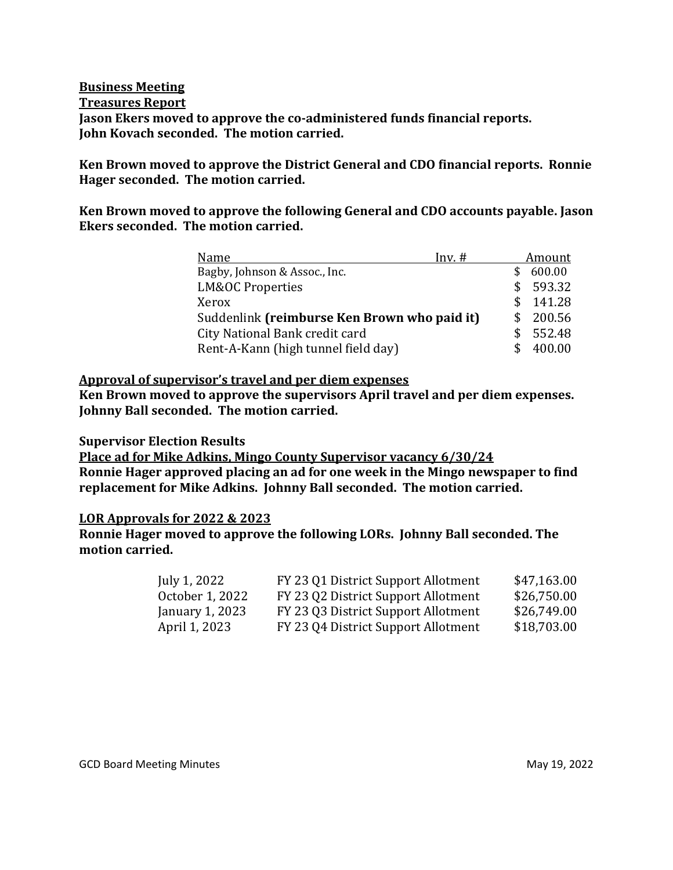### **Business Meeting Treasures Report Jason Ekers moved to approve the co-administered funds financial reports. John Kovach seconded. The motion carried.**

**Ken Brown moved to approve the District General and CDO financial reports. Ronnie Hager seconded. The motion carried.** 

### **Ken Brown moved to approve the following General and CDO accounts payable. Jason Ekers seconded. The motion carried.**

| Name                                         | $Inv.$ # |    | Amount |
|----------------------------------------------|----------|----|--------|
| Bagby, Johnson & Assoc., Inc.                |          |    | 600.00 |
| <b>LM&amp;OC Properties</b>                  |          | S. | 593.32 |
| Xerox                                        |          | Я  | 141.28 |
| Suddenlink (reimburse Ken Brown who paid it) |          |    | 200.56 |
| City National Bank credit card               |          | \$ | 552.48 |
| Rent-A-Kann (high tunnel field day)          |          | S  | 400.00 |

### **Approval of supervisor's travel and per diem expenses**

**Ken Brown moved to approve the supervisors April travel and per diem expenses. Johnny Ball seconded. The motion carried.**

#### **Supervisor Election Results**

**Place ad for Mike Adkins, Mingo County Supervisor vacancy 6/30/24 Ronnie Hager approved placing an ad for one week in the Mingo newspaper to find replacement for Mike Adkins. Johnny Ball seconded. The motion carried.**

#### **LOR Approvals for 2022 & 2023**

**Ronnie Hager moved to approve the following LORs. Johnny Ball seconded. The motion carried.**

| July 1, 2022    | FY 23 Q1 District Support Allotment | \$47,163.00 |
|-----------------|-------------------------------------|-------------|
| October 1, 2022 | FY 23 Q2 District Support Allotment | \$26,750.00 |
| January 1, 2023 | FY 23 Q3 District Support Allotment | \$26,749.00 |
| April 1, 2023   | FY 23 Q4 District Support Allotment | \$18,703.00 |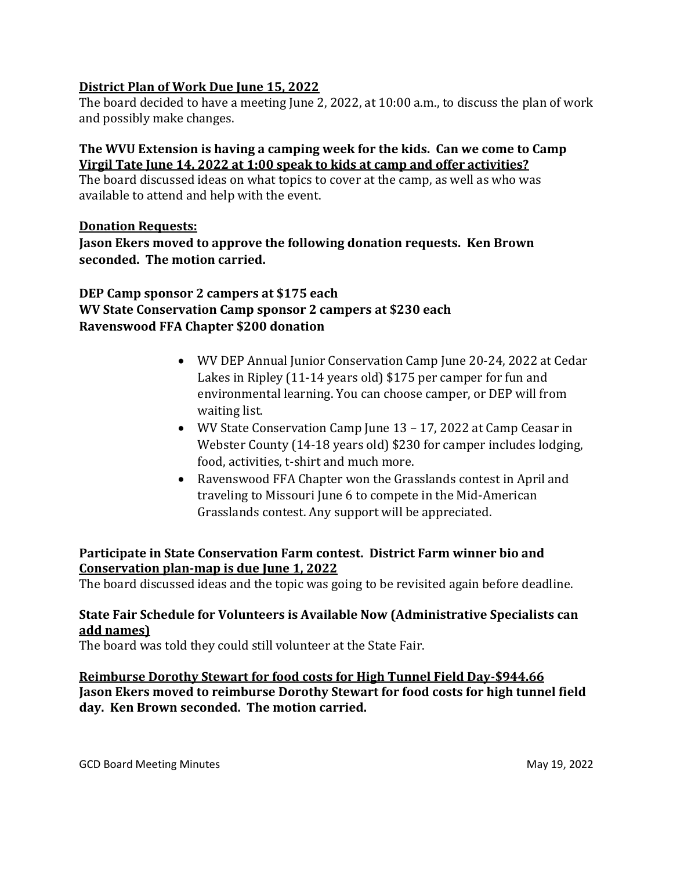# **District Plan of Work Due June 15, 2022**

The board decided to have a meeting June 2, 2022, at 10:00 a.m., to discuss the plan of work and possibly make changes.

# **The WVU Extension is having a camping week for the kids. Can we come to Camp Virgil Tate June 14, 2022 at 1:00 speak to kids at camp and offer activities?**

The board discussed ideas on what topics to cover at the camp, as well as who was available to attend and help with the event.

# **Donation Requests:**

**Jason Ekers moved to approve the following donation requests. Ken Brown seconded. The motion carried.**

# **DEP Camp sponsor 2 campers at \$175 each WV State Conservation Camp sponsor 2 campers at \$230 each Ravenswood FFA Chapter \$200 donation**

- WV DEP Annual Junior Conservation Camp June 20-24, 2022 at Cedar Lakes in Ripley (11-14 years old) \$175 per camper for fun and environmental learning. You can choose camper, or DEP will from waiting list.
- WV State Conservation Camp June 13 17, 2022 at Camp Ceasar in Webster County (14-18 years old) \$230 for camper includes lodging, food, activities, t-shirt and much more.
- Ravenswood FFA Chapter won the Grasslands contest in April and traveling to Missouri June 6 to compete in the Mid-American Grasslands contest. Any support will be appreciated.

# **Participate in State Conservation Farm contest. District Farm winner bio and Conservation plan-map is due June 1, 2022**

The board discussed ideas and the topic was going to be revisited again before deadline.

# **State Fair Schedule for Volunteers is Available Now (Administrative Specialists can add names)**

The board was told they could still volunteer at the State Fair.

**Reimburse Dorothy Stewart for food costs for High Tunnel Field Day-\$944.66 Jason Ekers moved to reimburse Dorothy Stewart for food costs for high tunnel field day. Ken Brown seconded. The motion carried.**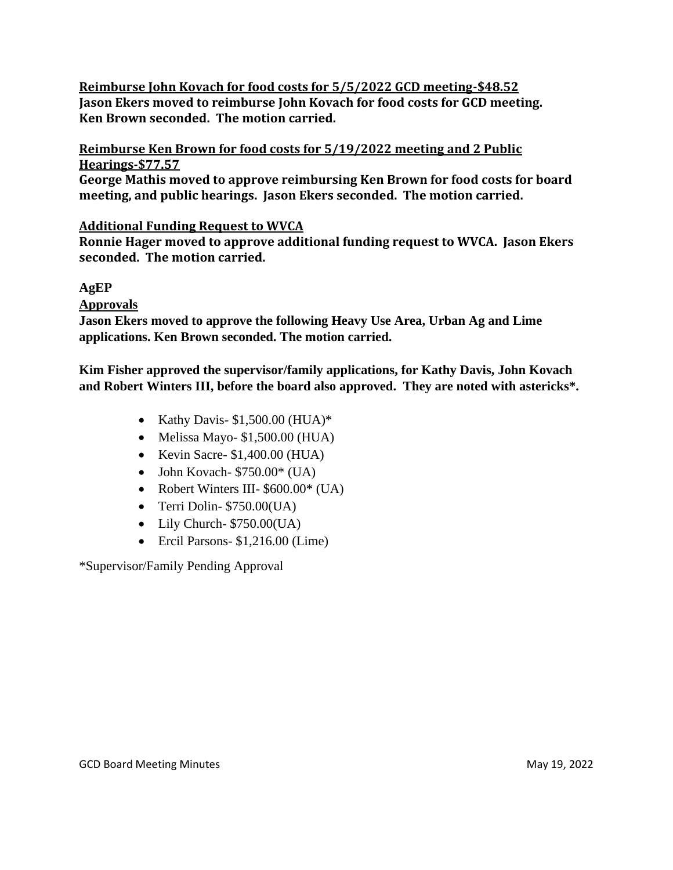# **Reimburse John Kovach for food costs for 5/5/2022 GCD meeting-\$48.52 Jason Ekers moved to reimburse John Kovach for food costs for GCD meeting. Ken Brown seconded. The motion carried.**

**Reimburse Ken Brown for food costs for 5/19/2022 meeting and 2 Public Hearings-\$77.57**

**George Mathis moved to approve reimbursing Ken Brown for food costs for board meeting, and public hearings. Jason Ekers seconded. The motion carried.**

# **Additional Funding Request to WVCA**

**Ronnie Hager moved to approve additional funding request to WVCA. Jason Ekers seconded. The motion carried.**

# **AgEP**

**Approvals**

**Jason Ekers moved to approve the following Heavy Use Area, Urban Ag and Lime applications. Ken Brown seconded. The motion carried.**

**Kim Fisher approved the supervisor/family applications, for Kathy Davis, John Kovach and Robert Winters III, before the board also approved. They are noted with astericks\*.**

- Kathy Davis- $$1,500.00$  (HUA)\*
- Melissa Mayo-  $$1,500.00$  (HUA)
- Kevin Sacre-  $$1,400.00$  (HUA)
- John Kovach-  $$750.00^{\circ}$  (UA)
- Robert Winters III- \$600.00\* (UA)
- Terri Dolin- \$750.00(UA)
- Lily Church- \$750.00(UA)
- Ercil Parsons- \$1,216.00 (Lime)

\*Supervisor/Family Pending Approval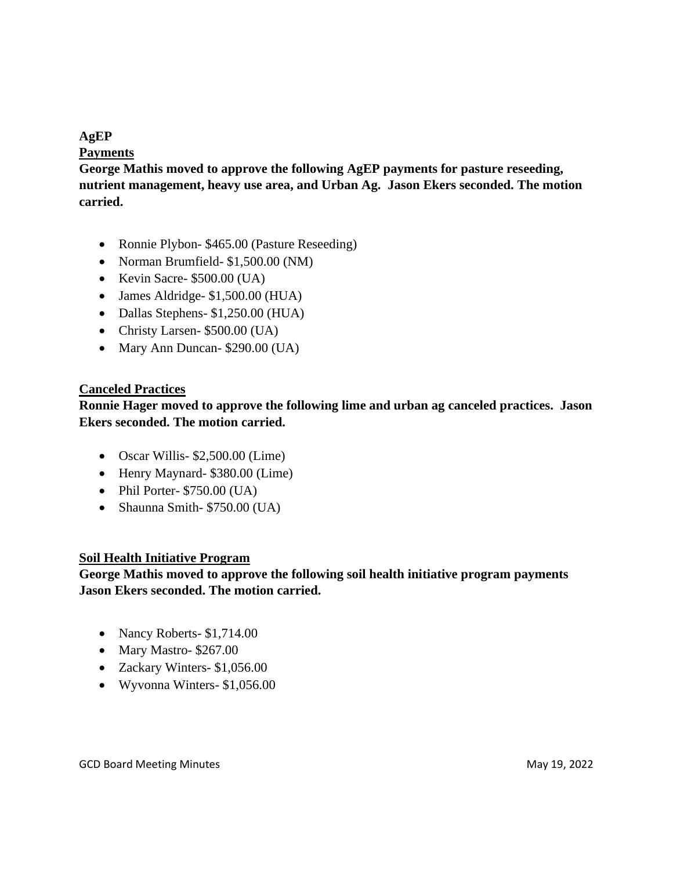# **AgEP**

### **Payments**

**George Mathis moved to approve the following AgEP payments for pasture reseeding, nutrient management, heavy use area, and Urban Ag. Jason Ekers seconded. The motion carried.**

- Ronnie Plybon- \$465.00 (Pasture Reseeding)
- Norman Brumfield- \$1,500.00 (NM)
- Kevin Sacre- \$500.00 (UA)
- James Aldridge- \$1,500.00 (HUA)
- Dallas Stephens- \$1,250.00 (HUA)
- Christy Larsen- \$500.00 (UA)
- Mary Ann Duncan- \$290.00 (UA)

### **Canceled Practices**

**Ronnie Hager moved to approve the following lime and urban ag canceled practices. Jason Ekers seconded. The motion carried.**

- Oscar Willis- \$2,500.00 (Lime)
- Henry Maynard- \$380.00 (Lime)
- Phil Porter- \$750.00 (UA)
- Shaunna Smith- \$750.00 (UA)

# **Soil Health Initiative Program**

**George Mathis moved to approve the following soil health initiative program payments Jason Ekers seconded. The motion carried.**

- Nancy Roberts- \$1,714.00
- Mary Mastro- \$267.00
- Zackary Winters- \$1,056.00
- Wyvonna Winters- \$1,056.00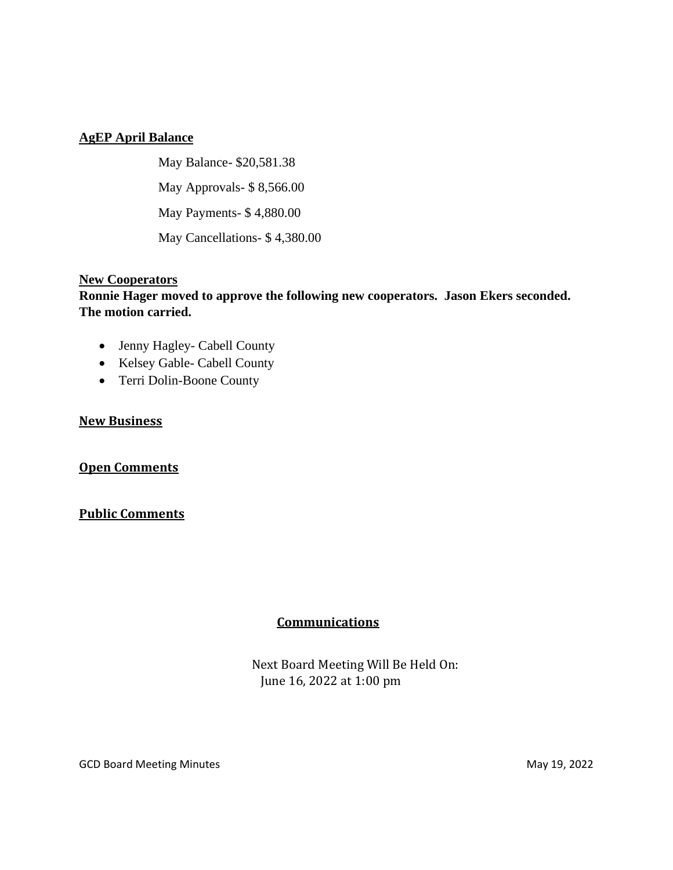# **AgEP April Balance**

May Balance- \$20,581.38 May Approvals- \$ 8,566.00 May Payments- \$ 4,880.00 May Cancellations- \$ 4,380.00

### **New Cooperators**

# **Ronnie Hager moved to approve the following new cooperators. Jason Ekers seconded. The motion carried.**

- Jenny Hagley- Cabell County
- Kelsey Gable- Cabell County
- Terri Dolin-Boone County

### **New Business**

#### **Open Comments**

#### **Public Comments**

# **Communications**

 Next Board Meeting Will Be Held On: June 16, 2022 at 1:00 pm

GCD Board Meeting Minutes **May 19, 2022**